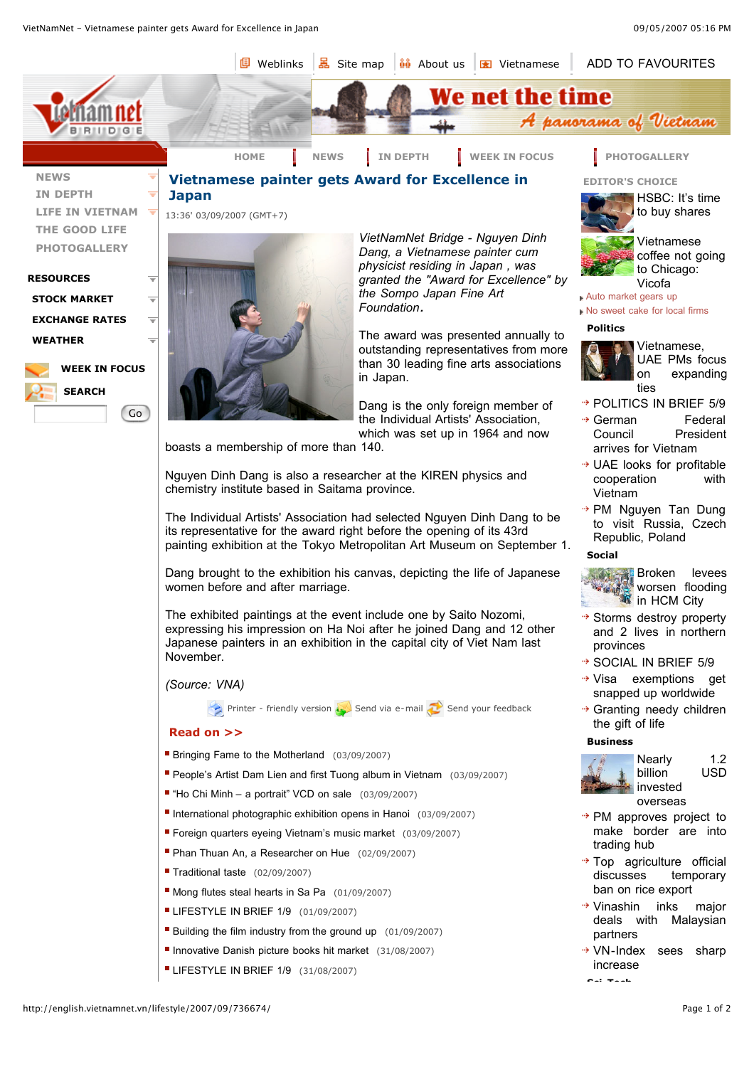